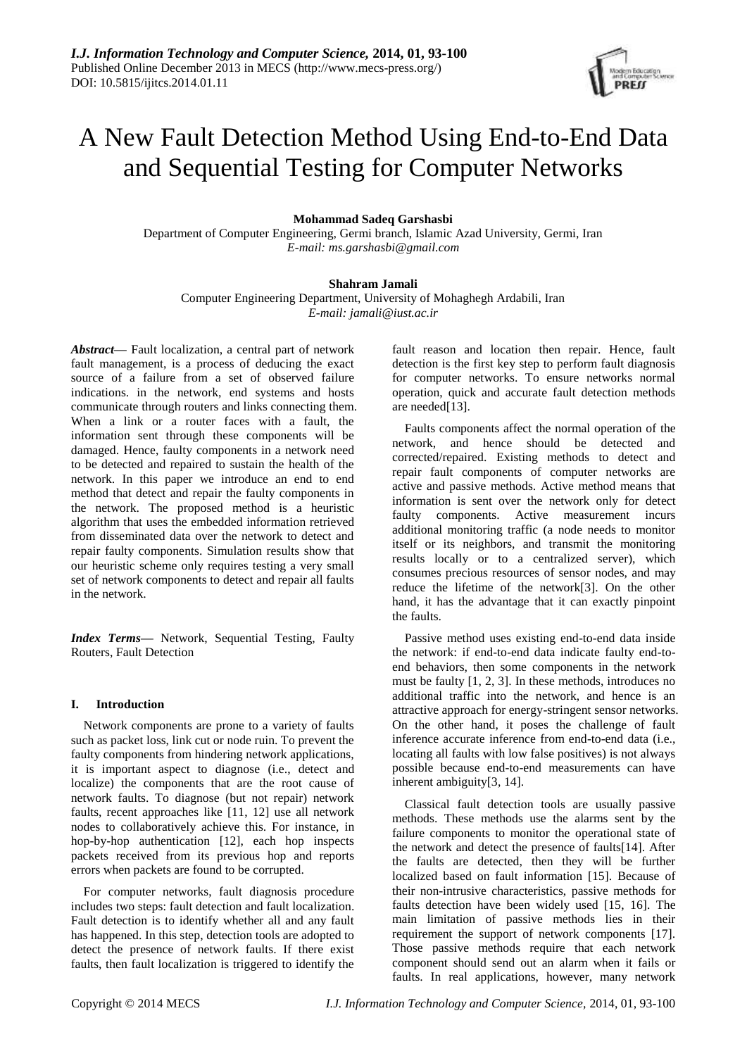# A New Fault Detection Method Using End-to-End Data and Sequential Testing for Computer Networks

**Mohammad Sadeq Garshasbi**

Department of Computer Engineering, Germi branch, Islamic Azad University, Germi, Iran *E-mail: ms.garshasbi@gmail.com*

# **Shahram Jamali**

Computer Engineering Department, University of Mohaghegh Ardabili, Iran *E-mail: jamali@iust.ac.ir*

*Abstract***—** Fault localization, a central part of network fault management, is a process of deducing the exact source of a failure from a set of observed failure indications. in the network, end systems and hosts communicate through routers and links connecting them. When a link or a router faces with a fault, the information sent through these components will be damaged. Hence, faulty components in a network need to be detected and repaired to sustain the health of the network. In this paper we introduce an end to end method that detect and repair the faulty components in the network. The proposed method is a heuristic algorithm that uses the embedded information retrieved from disseminated data over the network to detect and repair faulty components. Simulation results show that our heuristic scheme only requires testing a very small set of network components to detect and repair all faults in the network.

*Index Terms***—** Network, Sequential Testing, Faulty Routers, Fault Detection

# **I. Introduction**

Network components are prone to a variety of faults such as packet loss, link cut or node ruin. To prevent the faulty components from hindering network applications, it is important aspect to diagnose (i.e., detect and localize) the components that are the root cause of network faults. To diagnose (but not repair) network faults, recent approaches like [11, 12] use all network nodes to collaboratively achieve this. For instance, in hop-by-hop authentication [12], each hop inspects packets received from its previous hop and reports errors when packets are found to be corrupted.

For computer networks, fault diagnosis procedure includes two steps: fault detection and fault localization. Fault detection is to identify whether all and any fault has happened. In this step, detection tools are adopted to detect the presence of network faults. If there exist faults, then fault localization is triggered to identify the fault reason and location then repair. Hence, fault detection is the first key step to perform fault diagnosis for computer networks. To ensure networks normal operation, quick and accurate fault detection methods are needed[13].

Faults components affect the normal operation of the network, and hence should be detected and corrected/repaired. Existing methods to detect and repair fault components of computer networks are active and passive methods. Active method means that information is sent over the network only for detect faulty components. Active measurement incurs additional monitoring traffic (a node needs to monitor itself or its neighbors, and transmit the monitoring results locally or to a centralized server), which consumes precious resources of sensor nodes, and may reduce the lifetime of the network[3]. On the other hand, it has the advantage that it can exactly pinpoint the faults.

Passive method uses existing end-to-end data inside the network: if end-to-end data indicate faulty end-toend behaviors, then some components in the network must be faulty [1, 2, 3]. In these methods, introduces no additional traffic into the network, and hence is an attractive approach for energy-stringent sensor networks. On the other hand, it poses the challenge of fault inference accurate inference from end-to-end data (i.e., locating all faults with low false positives) is not always possible because end-to-end measurements can have inherent ambiguity[3, 14].

Classical fault detection tools are usually passive methods. These methods use the alarms sent by the failure components to monitor the operational state of the network and detect the presence of faults[14]. After the faults are detected, then they will be further localized based on fault information [15]. Because of their non-intrusive characteristics, passive methods for faults detection have been widely used [15, 16]. The main limitation of passive methods lies in their requirement the support of network components [17]. Those passive methods require that each network component should send out an alarm when it fails or faults. In real applications, however, many network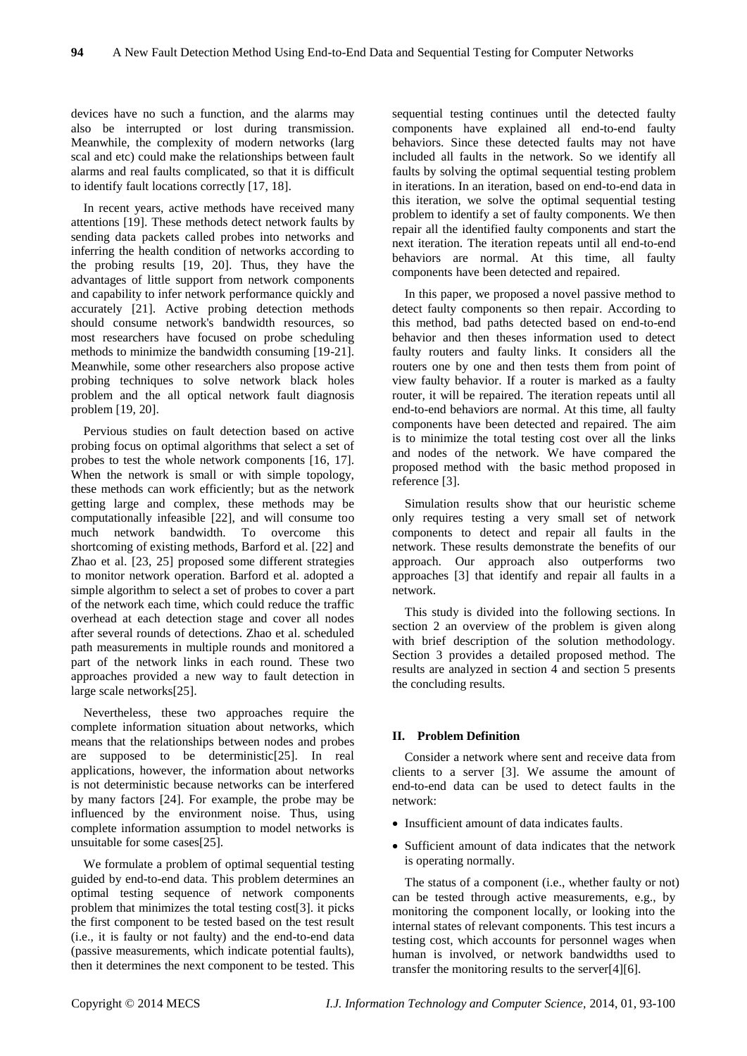devices have no such a function, and the alarms may also be interrupted or lost during transmission. Meanwhile, the complexity of modern networks (larg scal and etc) could make the relationships between fault alarms and real faults complicated, so that it is difficult to identify fault locations correctly [17, 18].

In recent years, active methods have received many attentions [19]. These methods detect network faults by sending data packets called probes into networks and inferring the health condition of networks according to the probing results [19, 20]. Thus, they have the advantages of little support from network components and capability to infer network performance quickly and accurately [21]. Active probing detection methods should consume network's bandwidth resources, so most researchers have focused on probe scheduling methods to minimize the bandwidth consuming [19-21]. Meanwhile, some other researchers also propose active probing techniques to solve network black holes problem and the all optical network fault diagnosis problem [19, 20].

Pervious studies on fault detection based on active probing focus on optimal algorithms that select a set of probes to test the whole network components [16, 17]. When the network is small or with simple topology, these methods can work efficiently; but as the network getting large and complex, these methods may be computationally infeasible [22], and will consume too much network bandwidth. To overcome this shortcoming of existing methods, Barford et al. [22] and Zhao et al. [23, 25] proposed some different strategies to monitor network operation. Barford et al. adopted a simple algorithm to select a set of probes to cover a part of the network each time, which could reduce the traffic overhead at each detection stage and cover all nodes after several rounds of detections. Zhao et al. scheduled path measurements in multiple rounds and monitored a part of the network links in each round. These two approaches provided a new way to fault detection in large scale networks[25].

Nevertheless, these two approaches require the complete information situation about networks, which means that the relationships between nodes and probes are supposed to be deterministic[25]. In real applications, however, the information about networks is not deterministic because networks can be interfered by many factors [24]. For example, the probe may be influenced by the environment noise. Thus, using complete information assumption to model networks is unsuitable for some cases[25].

We formulate a problem of optimal sequential testing guided by end-to-end data. This problem determines an optimal testing sequence of network components problem that minimizes the total testing cost[3]. it picks the first component to be tested based on the test result (i.e., it is faulty or not faulty) and the end-to-end data (passive measurements, which indicate potential faults), then it determines the next component to be tested. This

sequential testing continues until the detected faulty components have explained all end-to-end faulty behaviors. Since these detected faults may not have included all faults in the network. So we identify all faults by solving the optimal sequential testing problem in iterations. In an iteration, based on end-to-end data in this iteration, we solve the optimal sequential testing problem to identify a set of faulty components. We then repair all the identified faulty components and start the next iteration. The iteration repeats until all end-to-end behaviors are normal. At this time, all faulty components have been detected and repaired.

In this paper, we proposed a novel passive method to detect faulty components so then repair. According to this method, bad paths detected based on end-to-end behavior and then theses information used to detect faulty routers and faulty links. It considers all the routers one by one and then tests them from point of view faulty behavior. If a router is marked as a faulty router, it will be repaired. The iteration repeats until all end-to-end behaviors are normal. At this time, all faulty components have been detected and repaired. The aim is to minimize the total testing cost over all the links and nodes of the network. We have compared the proposed method with the basic method proposed in reference [3].

Simulation results show that our heuristic scheme only requires testing a very small set of network components to detect and repair all faults in the network. These results demonstrate the benefits of our approach. Our approach also outperforms two approaches [3] that identify and repair all faults in a network.

This study is divided into the following sections. In section 2 an overview of the problem is given along with brief description of the solution methodology. Section 3 provides a detailed proposed method. The results are analyzed in section 4 and section 5 presents the concluding results.

# **II. Problem Definition**

Consider a network where sent and receive data from clients to a server [3]. We assume the amount of end-to-end data can be used to detect faults in the network:

- Insufficient amount of data indicates faults.
- Sufficient amount of data indicates that the network is operating normally.

The status of a component (i.e., whether faulty or not) can be tested through active measurements, e.g., by monitoring the component locally, or looking into the internal states of relevant components. This test incurs a testing cost, which accounts for personnel wages when human is involved, or network bandwidths used to transfer the monitoring results to the server[4][6].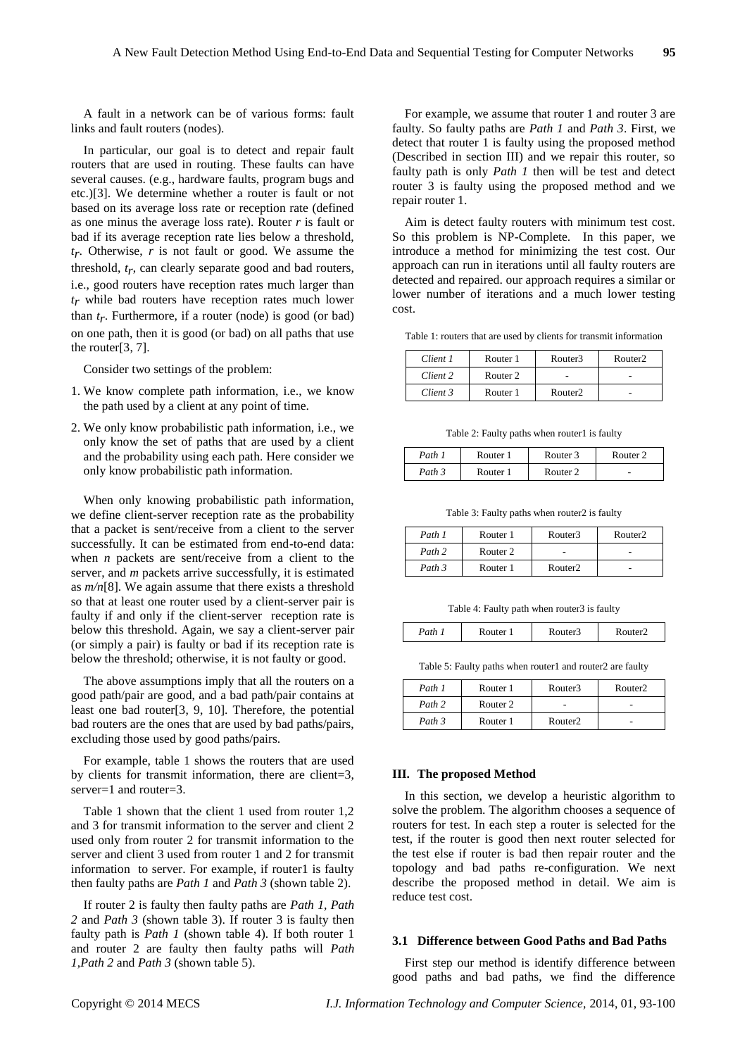A fault in a network can be of various forms: fault links and fault routers (nodes).

In particular, our goal is to detect and repair fault routers that are used in routing. These faults can have several causes. (e.g., hardware faults, program bugs and etc.)[3]. We determine whether a router is fault or not based on its average loss rate or reception rate (defined as one minus the average loss rate). Router *r* is fault or bad if its average reception rate lies below a threshold, *tr* . Otherwise, *r* is not fault or good. We assume the threshold, *tr* , can clearly separate good and bad routers, i.e., good routers have reception rates much larger than *tr* while bad routers have reception rates much lower than  $t_r$ . Furthermore, if a router (node) is good (or bad) on one path, then it is good (or bad) on all paths that use the router[3, 7].

Consider two settings of the problem:

- 1. We know complete path information, i.e., we know the path used by a client at any point of time.
- 2. We only know probabilistic path information, i.e., we only know the set of paths that are used by a client and the probability using each path. Here consider we only know probabilistic path information.

When only knowing probabilistic path information, we define client-server reception rate as the probability that a packet is sent/receive from a client to the server successfully. It can be estimated from end-to-end data: when *n* packets are sent/receive from a client to the server, and *m* packets arrive successfully, it is estimated as *m/n*[8]. We again assume that there exists a threshold so that at least one router used by a client-server pair is faulty if and only if the client-server reception rate is below this threshold. Again, we say a client-server pair (or simply a pair) is faulty or bad if its reception rate is below the threshold; otherwise, it is not faulty or good.

The above assumptions imply that all the routers on a good path/pair are good, and a bad path/pair contains at least one bad router[3, 9, 10]. Therefore, the potential bad routers are the ones that are used by bad paths/pairs, excluding those used by good paths/pairs.

For example, table 1 shows the routers that are used by clients for transmit information, there are client=3, server=1 and router=3.

Table 1 shown that the client 1 used from router 1,2 and 3 for transmit information to the server and client 2 used only from router 2 for transmit information to the server and client 3 used from router 1 and 2 for transmit information to server. For example, if router1 is faulty then faulty paths are *Path 1* and *Path 3* (shown table 2).

If router 2 is faulty then faulty paths are *Path 1, Path 2* and *Path 3* (shown table 3). If router 3 is faulty then faulty path is *Path 1* (shown table 4). If both router 1 and router 2 are faulty then faulty paths will *Path 1*,*Path 2* and *Path 3* (shown table 5).

For example, we assume that router 1 and router 3 are faulty. So faulty paths are *Path 1* and *Path 3*. First, we detect that router 1 is faulty using the proposed method (Described in section III) and we repair this router, so faulty path is only *Path 1* then will be test and detect router 3 is faulty using the proposed method and we repair router 1.

Aim is detect faulty routers with minimum test cost. So this problem is NP-Complete. In this paper, we introduce a method for minimizing the test cost. Our approach can run in iterations until all faulty routers are detected and repaired. our approach requires a similar or lower number of iterations and a much lower testing cost.

Table 1: routers that are used by clients for transmit information

| Client 1 | Router 1            | Router3             | Router <sub>2</sub> |  |
|----------|---------------------|---------------------|---------------------|--|
| Client 2 | Router <sub>2</sub> |                     |                     |  |
| Client 3 | Router 1            | Router <sub>2</sub> |                     |  |

Table 2: Faulty paths when router1 is faulty

| Path   | Router | Router 3            | Router <sub>2</sub>      |
|--------|--------|---------------------|--------------------------|
| Path 3 | Router | Router <sub>2</sub> | $\overline{\phantom{a}}$ |

Table 3: Faulty paths when router2 is faulty

| Path 1 | Router 1 | Router3             | Router <sub>2</sub> |
|--------|----------|---------------------|---------------------|
| Path 2 | Router 2 | ۰                   |                     |
| Path 3 | Router 1 | Router <sub>2</sub> |                     |

Table 4: Faulty path when router3 is faulty

| Path | witer<br>. | ter3 | 'Ar'<br>. |
|------|------------|------|-----------|
|      |            |      |           |

Table 5: Faulty paths when router1 and router2 are faulty

| Path 1 | Router 1 | Router3             | Router <sub>2</sub> |
|--------|----------|---------------------|---------------------|
| Path 2 | Router 2 |                     | ۰                   |
| Path 3 | Router 1 | Router <sub>2</sub> | -                   |

#### **III. The proposed Method**

In this section, we develop a heuristic algorithm to solve the problem. The algorithm chooses a sequence of routers for test. In each step a router is selected for the test, if the router is good then next router selected for the test else if router is bad then repair router and the topology and bad paths re-configuration. We next describe the proposed method in detail. We aim is reduce test cost.

# **3.1 Difference between Good Paths and Bad Paths**

First step our method is identify difference between good paths and bad paths, we find the difference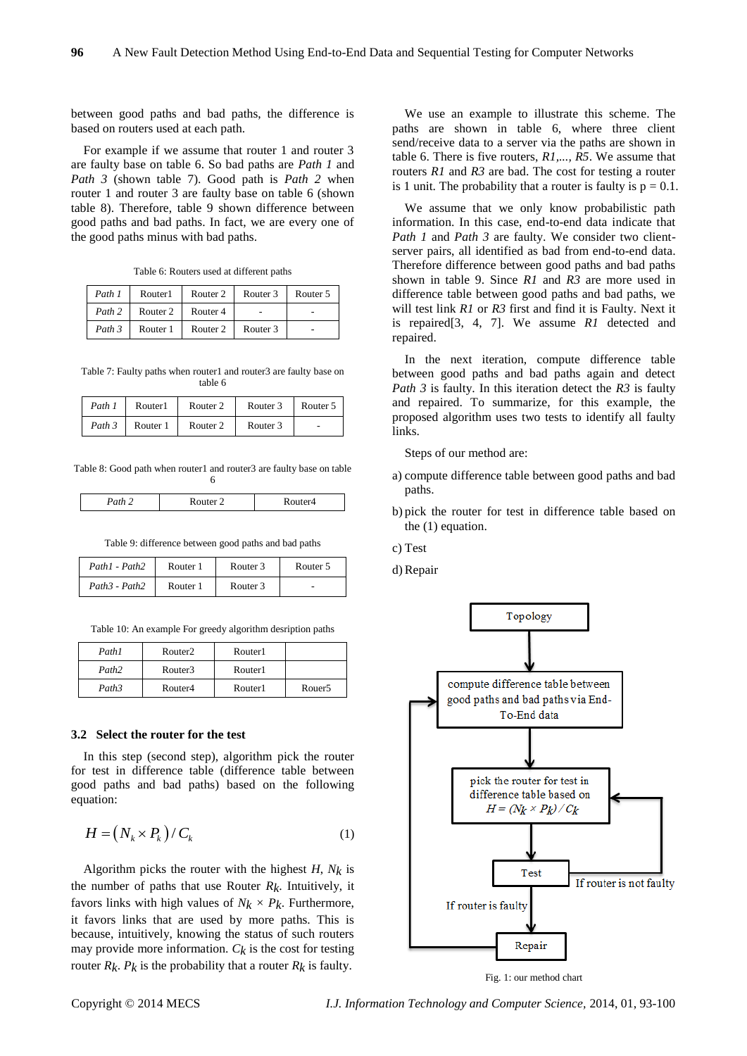between good paths and bad paths, the difference is based on routers used at each path.

For example if we assume that router 1 and router 3 are faulty base on table 6. So bad paths are *Path 1* and *Path 3* (shown table 7). Good path is *Path 2* when router 1 and router 3 are faulty base on table 6 (shown table 8). Therefore, table 9 shown difference between good paths and bad paths. In fact, we are every one of the good paths minus with bad paths.

| Table 6: Routers used at different paths |  |  |  |
|------------------------------------------|--|--|--|
|------------------------------------------|--|--|--|

| Path 1 | Router1  | Router 2 | Router 3 | Router 5 |
|--------|----------|----------|----------|----------|
| Path 2 | Router 2 | Router 4 |          |          |
| Path 3 | Router 1 | Router 2 | Router 3 |          |

Table 7: Faulty paths when router1 and router3 are faulty base on table 6

| Path 1 | Router1  | Router 2 | Router 3 | Router 5 |
|--------|----------|----------|----------|----------|
| Path 3 | Router 1 | Router 2 | Router 3 | . .      |

Table 8: Good path when router1 and router3 are faulty base on table 6

| $\sim$ $\sim$ $\sim$ $\sim$<br>.<br>. |
|---------------------------------------|
|---------------------------------------|

Table 9: difference between good paths and bad paths

| Path1 - Path2 | Router 1 | Router 3 | Router 5 |
|---------------|----------|----------|----------|
| Path3 - Path2 | Router 1 | Router 3 |          |

|  |  |  | Table 10: An example For greedy algorithm desription paths |  |  |
|--|--|--|------------------------------------------------------------|--|--|
|  |  |  |                                                            |  |  |

| Path1             | Router <sub>2</sub> | Router1 |                    |
|-------------------|---------------------|---------|--------------------|
| Path <sub>2</sub> | Router3             | Router1 |                    |
| Path <sub>3</sub> | Router4             | Router1 | Rouer <sub>5</sub> |

#### **3.2 Select the router for the test**

In this step (second step), algorithm pick the router for test in difference table (difference table between good paths and bad paths) based on the following equation:

$$
H = (N_k \times P_k) / C_k \tag{1}
$$

Algorithm picks the router with the highest *H*, *Nk* is the number of paths that use Router  $R_k$ . Intuitively, it favors links with high values of  $N_k \times P_k$ . Furthermore, it favors links that are used by more paths. This is because, intuitively, knowing the status of such routers may provide more information.  $C_k$  is the cost for testing router  $R_k$ .  $P_k$  is the probability that a router  $R_k$  is faulty.

We use an example to illustrate this scheme. The paths are shown in table 6, where three client send/receive data to a server via the paths are shown in table 6. There is five routers, *R1,..., R5*. We assume that routers *R1* and *R3* are bad. The cost for testing a router is 1 unit. The probability that a router is faulty is  $p = 0.1$ .

We assume that we only know probabilistic path information. In this case, end-to-end data indicate that *Path 1* and *Path 3* are faulty. We consider two clientserver pairs, all identified as bad from end-to-end data. Therefore difference between good paths and bad paths shown in table 9. Since *R1* and *R3* are more used in difference table between good paths and bad paths, we will test link *R1* or *R3* first and find it is Faulty. Next it is repaired[3, 4, 7]. We assume *R1* detected and repaired.

In the next iteration, compute difference table between good paths and bad paths again and detect *Path 3* is faulty. In this iteration detect the *R3* is faulty and repaired. To summarize, for this example, the proposed algorithm uses two tests to identify all faulty links.

Steps of our method are:

- a) compute difference table between good paths and bad paths.
- b) pick the router for test in difference table based on the (1) equation.
- c) Test
- d) Repair



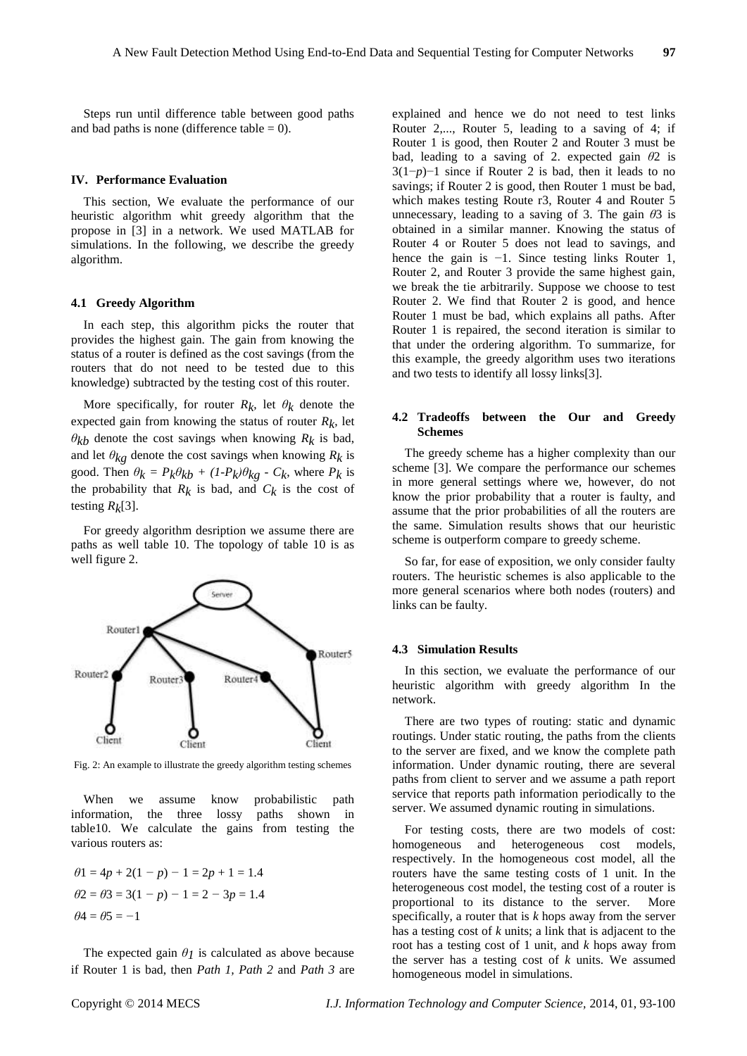Steps run until difference table between good paths and bad paths is none (difference table  $= 0$ ).

#### **IV. Performance Evaluation**

This section, We evaluate the performance of our heuristic algorithm whit greedy algorithm that the propose in [3] in a network. We used MATLAB for simulations. In the following, we describe the greedy algorithm.

### **4.1 Greedy Algorithm**

In each step, this algorithm picks the router that provides the highest gain. The gain from knowing the status of a router is defined as the cost savings (from the routers that do not need to be tested due to this knowledge) subtracted by the testing cost of this router.

More specifically, for router  $R_k$ , let  $\theta_k$  denote the expected gain from knowing the status of router *Rk*, let  $\theta_{kb}$  denote the cost savings when knowing  $R_k$  is bad, and let  $\theta_{kg}$  denote the cost savings when knowing  $R_k$  is good. Then  $\theta_k = P_k \theta_{kb} + (1 - P_k) \theta_{kg} - C_k$ , where  $P_k$  is the probability that  $R_k$  is bad, and  $C_k$  is the cost of testing  $R_k[3]$ .

For greedy algorithm desription we assume there are paths as well table 10. The topology of table 10 is as well figure 2.



Fig. 2: An example to illustrate the greedy algorithm testing schemes

When we assume know probabilistic path information, the three lossy paths shown in table10. We calculate the gains from testing the various routers as:

$$
\theta1 = 4p + 2(1 - p) - 1 = 2p + 1 = 1.4
$$
  

$$
\theta2 = \theta3 = 3(1 - p) - 1 = 2 - 3p = 1.4
$$
  

$$
\theta4 = \theta5 = -1
$$

The expected gain  $\theta_l$  is calculated as above because if Router 1 is bad, then *Path 1, Path 2* and *Path 3* are explained and hence we do not need to test links Router 2,..., Router 5, leading to a saving of 4; if Router 1 is good, then Router 2 and Router 3 must be bad, leading to a saving of 2. expected gain *θ*2 is 3(1−*p*)−1 since if Router 2 is bad, then it leads to no savings; if Router 2 is good, then Router 1 must be bad, which makes testing Route r3, Router 4 and Router 5 unnecessary, leading to a saving of 3. The gain *θ*3 is obtained in a similar manner. Knowing the status of Router 4 or Router 5 does not lead to savings, and hence the gain is −1. Since testing links Router 1, Router 2, and Router 3 provide the same highest gain, we break the tie arbitrarily. Suppose we choose to test Router 2. We find that Router 2 is good, and hence Router 1 must be bad, which explains all paths. After Router 1 is repaired, the second iteration is similar to that under the ordering algorithm. To summarize, for this example, the greedy algorithm uses two iterations and two tests to identify all lossy links[3].

## **4.2 Tradeoffs between the Our and Greedy Schemes**

The greedy scheme has a higher complexity than our scheme [3]. We compare the performance our schemes in more general settings where we, however, do not know the prior probability that a router is faulty, and assume that the prior probabilities of all the routers are the same. Simulation results shows that our heuristic scheme is outperform compare to greedy scheme.

So far, for ease of exposition, we only consider faulty routers. The heuristic schemes is also applicable to the more general scenarios where both nodes (routers) and links can be faulty.

#### **4.3 Simulation Results**

In this section, we evaluate the performance of our heuristic algorithm with greedy algorithm In the network.

There are two types of routing: static and dynamic routings. Under static routing, the paths from the clients to the server are fixed, and we know the complete path information. Under dynamic routing, there are several paths from client to server and we assume a path report service that reports path information periodically to the server. We assumed dynamic routing in simulations.

For testing costs, there are two models of cost: homogeneous and heterogeneous cost models, respectively. In the homogeneous cost model, all the routers have the same testing costs of 1 unit. In the heterogeneous cost model, the testing cost of a router is proportional to its distance to the server. More specifically, a router that is *k* hops away from the server has a testing cost of *k* units; a link that is adjacent to the root has a testing cost of 1 unit, and *k* hops away from the server has a testing cost of *k* units. We assumed homogeneous model in simulations.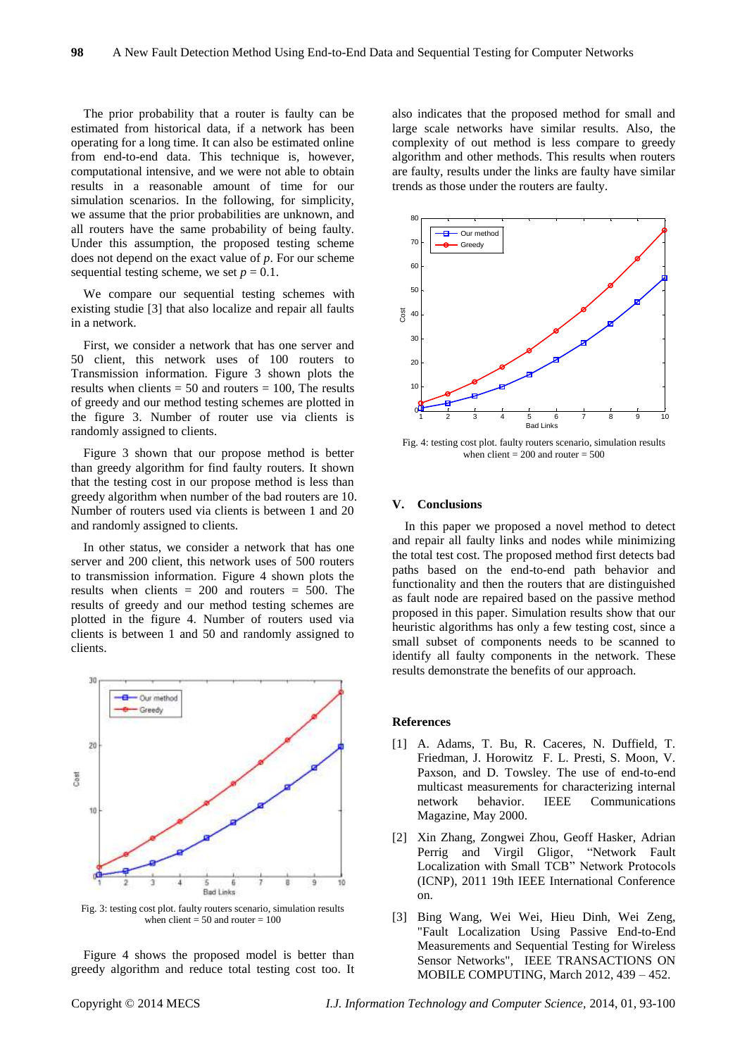The prior probability that a router is faulty can be estimated from historical data, if a network has been operating for a long time. It can also be estimated online from end-to-end data. This technique is, however, computational intensive, and we were not able to obtain results in a reasonable amount of time for our simulation scenarios. In the following, for simplicity, we assume that the prior probabilities are unknown, and all routers have the same probability of being faulty. Under this assumption, the proposed testing scheme does not depend on the exact value of *p*. For our scheme sequential testing scheme, we set  $p = 0.1$ .

We compare our sequential testing schemes with existing studie [3] that also localize and repair all faults in a network.

First, we consider a network that has one server and 50 client, this network uses of 100 routers to Transmission information. Figure 3 shown plots the results when clients  $= 50$  and routers  $= 100$ , The results of greedy and our method testing schemes are plotted in the figure 3. Number of router use via clients is randomly assigned to clients.

Figure 3 shown that our propose method is better than greedy algorithm for find faulty routers. It shown that the testing cost in our propose method is less than greedy algorithm when number of the bad routers are 10. Number of routers used via clients is between 1 and 20 and randomly assigned to clients.

In other status, we consider a network that has one server and 200 client, this network uses of 500 routers to transmission information. Figure 4 shown plots the results when clients  $= 200$  and routers  $= 500$ . The results of greedy and our method testing schemes are plotted in the figure 4. Number of routers used via clients is between 1 and 50 and randomly assigned to clients.



Fig. 3: testing cost plot. faulty routers scenario, simulation results when client  $= 50$  and router  $= 100$ 

Figure 4 shows the proposed model is better than greedy algorithm and reduce total testing cost too. It also indicates that the proposed method for small and large scale networks have similar results. Also, the complexity of out method is less compare to greedy algorithm and other methods. This results when routers are faulty, results under the links are faulty have similar trends as those under the routers are faulty.



Fig. 4: testing cost plot. faulty routers scenario, simulation results when  $client = 200$  and router  $= 500$ 

#### **V. Conclusions**

In this paper we proposed a novel method to detect and repair all faulty links and nodes while minimizing the total test cost. The proposed method first detects bad paths based on the end-to-end path behavior and functionality and then the routers that are distinguished as fault node are repaired based on the passive method proposed in this paper. Simulation results show that our heuristic algorithms has only a few testing cost, since a small subset of components needs to be scanned to identify all faulty components in the network. These results demonstrate the benefits of our approach.

#### **References**

- [1] A. Adams, T. Bu, R. Caceres, N. Duffield, T. Friedman, J. Horowitz F. L. Presti, S. Moon, V. Paxson, and D. Towsley. The use of end-to-end multicast measurements for characterizing internal network behavior. IEEE Communications Magazine, May 2000.
- [2] Xin Zhang, Zongwei Zhou, Geoff Hasker, Adrian Perrig and Virgil Gligor, "Network Fault Localization with Small TCB" Network Protocols (ICNP), 2011 19th IEEE International Conference on.
- [3] Bing Wang, Wei Wei, Hieu Dinh, Wei Zeng, "Fault Localization Using Passive End-to-End Measurements and Sequential Testing for Wireless Sensor Networks", IEEE TRANSACTIONS ON MOBILE COMPUTING, March 2012, 439 – 452.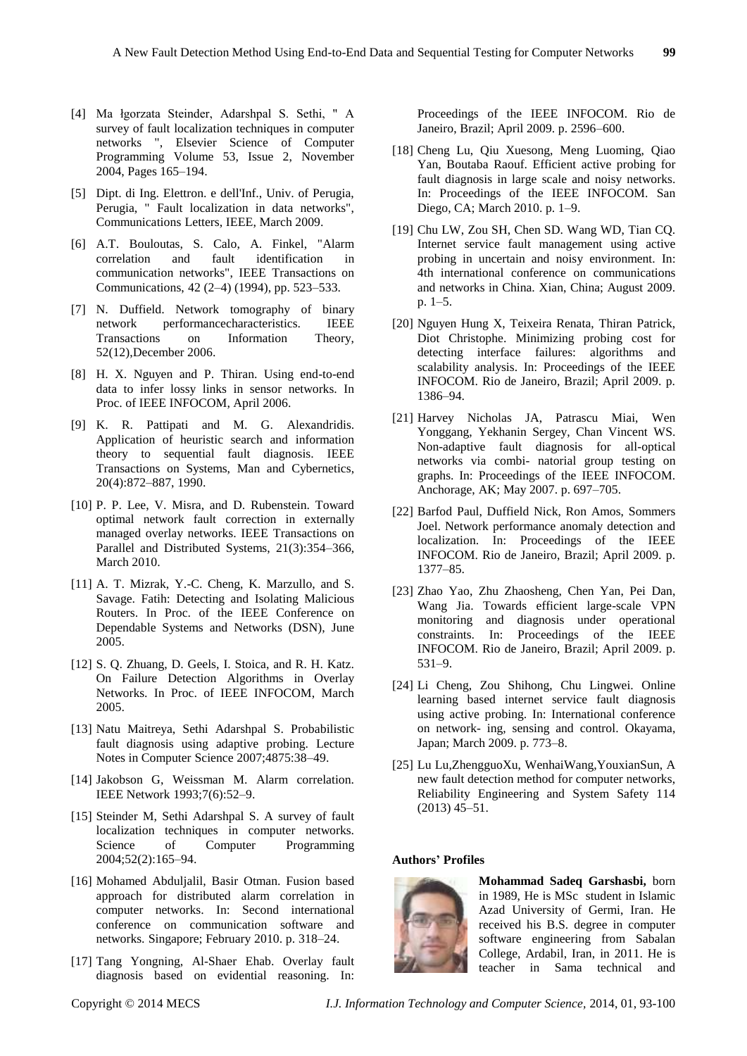- [4] Ma łgorzata Steinder, Adarshpal S. Sethi, " A survey of fault localization techniques in computer networks ", Elsevier Science of Computer Programming Volume 53, Issue 2, November 2004, Pages 165–194.
- [5] Dipt. di Ing. Elettron. e dell'Inf., Univ. of Perugia, Perugia, " Fault localization in data networks", Communications Letters, IEEE, March 2009.
- [6] A.T. Bouloutas, S. Calo, A. Finkel, "Alarm correlation and fault identification in communication networks", IEEE Transactions on Communications, 42 (2–4) (1994), pp. 523–533.
- [7] N. Duffield. Network tomography of binary network performancecharacteristics. IEEE<br>Transactions on Information Theory. Transactions on Information Theory, 52(12),December 2006.
- [8] H. X. Nguyen and P. Thiran. Using end-to-end data to infer lossy links in sensor networks. In Proc. of IEEE INFOCOM, April 2006.
- [9] K. R. Pattipati and M. G. Alexandridis. Application of heuristic search and information theory to sequential fault diagnosis. IEEE Transactions on Systems, Man and Cybernetics, 20(4):872–887, 1990.
- [10] P. P. Lee, V. Misra, and D. Rubenstein. Toward optimal network fault correction in externally managed overlay networks. IEEE Transactions on Parallel and Distributed Systems, 21(3):354–366, March 2010.
- [11] A. T. Mizrak, Y.-C. Cheng, K. Marzullo, and S. Savage. Fatih: Detecting and Isolating Malicious Routers. In Proc. of the IEEE Conference on Dependable Systems and Networks (DSN), June 2005.
- [12] S. Q. Zhuang, D. Geels, I. Stoica, and R. H. Katz. On Failure Detection Algorithms in Overlay Networks. In Proc. of IEEE INFOCOM, March 2005.
- [13] Natu Maitreya, Sethi Adarshpal S. Probabilistic fault diagnosis using adaptive probing. Lecture Notes in Computer Science 2007;4875:38–49.
- [14] Jakobson G, Weissman M. Alarm correlation. IEEE Network 1993;7(6):52–9.
- [15] Steinder M, Sethi Adarshpal S. A survey of fault localization techniques in computer networks. Science of Computer Programming 2004;52(2):165–94.
- [16] Mohamed Abduljalil, Basir Otman. Fusion based approach for distributed alarm correlation in computer networks. In: Second international conference on communication software and networks. Singapore; February 2010. p. 318–24.
- [17] Tang Yongning, Al-Shaer Ehab. Overlay fault diagnosis based on evidential reasoning. In:

Proceedings of the IEEE INFOCOM. Rio de Janeiro, Brazil; April 2009. p. 2596–600.

- [18] Cheng Lu, Qiu Xuesong, Meng Luoming, Qiao Yan, Boutaba Raouf. Efficient active probing for fault diagnosis in large scale and noisy networks. In: Proceedings of the IEEE INFOCOM. San Diego, CA; March 2010. p. 1–9.
- [19] Chu LW, Zou SH, Chen SD. Wang WD, Tian CQ. Internet service fault management using active probing in uncertain and noisy environment. In: 4th international conference on communications and networks in China. Xian, China; August 2009. p. 1–5.
- [20] Nguyen Hung X, Teixeira Renata, Thiran Patrick, Diot Christophe. Minimizing probing cost for detecting interface failures: algorithms and scalability analysis. In: Proceedings of the IEEE INFOCOM. Rio de Janeiro, Brazil; April 2009. p. 1386–94.
- [21] Harvey Nicholas JA, Patrascu Miai, Wen Yonggang, Yekhanin Sergey, Chan Vincent WS. Non-adaptive fault diagnosis for all-optical networks via combi- natorial group testing on graphs. In: Proceedings of the IEEE INFOCOM. Anchorage, AK; May 2007. p. 697–705.
- [22] Barfod Paul, Duffield Nick, Ron Amos, Sommers Joel. Network performance anomaly detection and localization. In: Proceedings of the IEEE INFOCOM. Rio de Janeiro, Brazil; April 2009. p. 1377–85.
- [23] Zhao Yao, Zhu Zhaosheng, Chen Yan, Pei Dan, Wang Jia. Towards efficient large-scale VPN monitoring and diagnosis under operational constraints. In: Proceedings of the IEEE INFOCOM. Rio de Janeiro, Brazil; April 2009. p. 531–9.
- [24] Li Cheng, Zou Shihong, Chu Lingwei. Online learning based internet service fault diagnosis using active probing. In: International conference on network- ing, sensing and control. Okayama, Japan; March 2009. p. 773–8.
- [25] Lu Lu,ZhengguoXu, WenhaiWang,YouxianSun, A new fault detection method for computer networks, Reliability Engineering and System Safety 114 (2013) 45–51.

# **Authors' Profiles**



**Mohammad Sadeq Garshasbi,** born in 1989, He is MSc student in Islamic Azad University of Germi, Iran. He received his B.S. degree in computer software engineering from Sabalan College, Ardabil, Iran, in 2011. He is teacher in Sama technical and